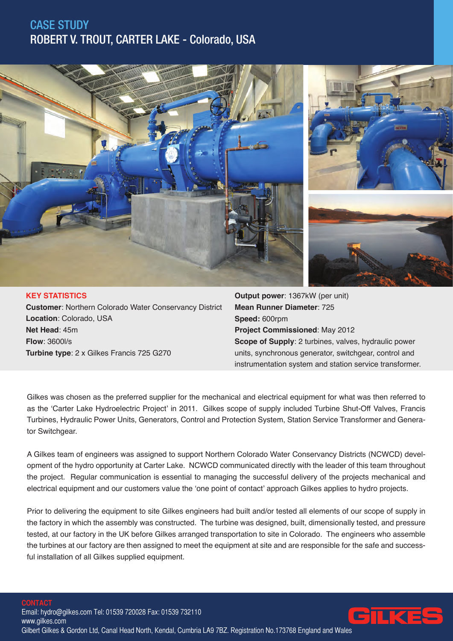# CASE STUDY ROBERT V. TROUT, CARTER LAKE - Colorado, USA



### **KEY STATISTICS Customer**: Northern Colorado Water Conservancy District **Location**: Colorado, USA **Net Head**: 45m **Flow**: 3600l/s **Turbine type**: 2 x Gilkes Francis 725 G270

**Output power**: 1367kW (per unit) **Mean Runner Diameter**: 725 **Speed:** 600rpm **Project Commissioned**: May 2012 **Scope of Supply**: 2 turbines, valves, hydraulic power units, synchronous generator, switchgear, control and instrumentation system and station service transformer.

Gilkes was chosen as the preferred supplier for the mechanical and electrical equipment for what was then referred to as the 'Carter Lake Hydroelectric Project' in 2011. Gilkes scope of supply included Turbine Shut-Off Valves, Francis Turbines, Hydraulic Power Units, Generators, Control and Protection System, Station Service Transformer and Generator Switchgear.

A Gilkes team of engineers was assigned to support Northern Colorado Water Conservancy Districts (NCWCD) development of the hydro opportunity at Carter Lake. NCWCD communicated directly with the leader of this team throughout the project. Regular communication is essential to managing the successful delivery of the projects mechanical and electrical equipment and our customers value the 'one point of contact' approach Gilkes applies to hydro projects.

Prior to delivering the equipment to site Gilkes engineers had built and/or tested all elements of our scope of supply in the factory in which the assembly was constructed. The turbine was designed, built, dimensionally tested, and pressure tested, at our factory in the UK before Gilkes arranged transportation to site in Colorado. The engineers who assemble the turbines at our factory are then assigned to meet the equipment at site and are responsible for the safe and successful installation of all Gilkes supplied equipment.